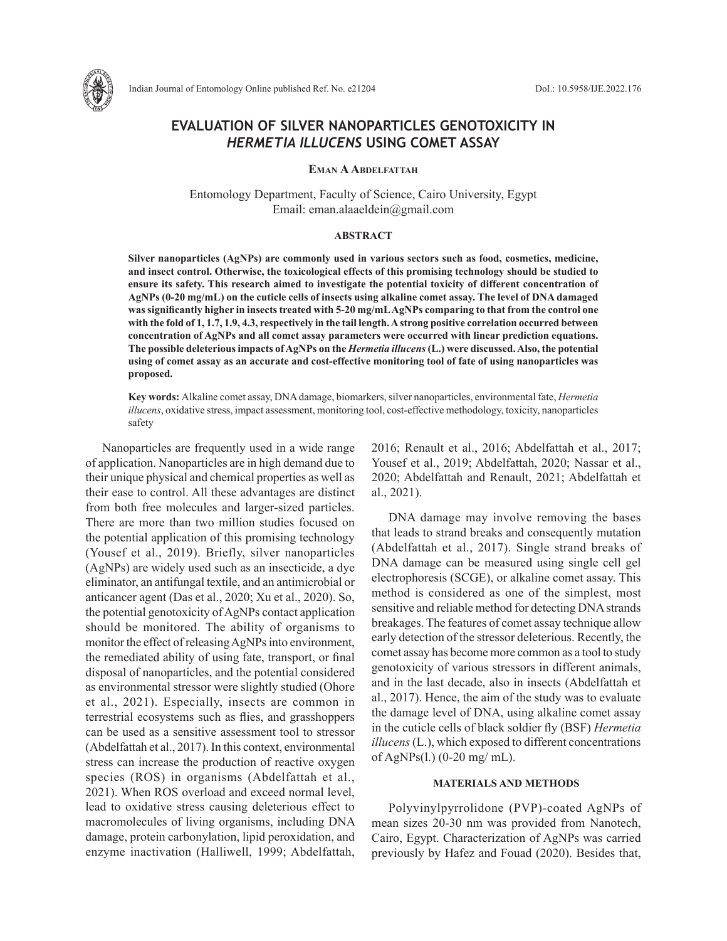

# **EVALUATION OF SILVER NANOPARTICLES GENOTOXICITY IN**  *HERMETIA ILLUCENS* **USING COMET ASSAY**

# **Eman AAbdelfattah**

Entomology Department, Faculty of Science, Cairo University, Egypt Email: eman.alaaeldein@gmail.com

## **ABSTRACT**

**Silver nanoparticles (AgNPs) are commonly used in various sectors such as food, cosmetics, medicine, and insect control. Otherwise, the toxicological effects of this promising technology should be studied to ensure its safety. This research aimed to investigate the potential toxicity of different concentration of AgNPs (0-20 mg/mL) on the cuticle cells of insects using alkaline comet assay. The level of DNA damaged was significantly higher in insects treated with 5-20 mg/mL AgNPs comparing to that from the control one with the fold of 1, 1.7, 1.9, 4.3, respectively in the tail length. A strong positive correlation occurred between concentration of AgNPs and all comet assay parameters were occurred with linear prediction equations. The possible deleterious impacts of AgNPs on the** *Hermetia illucens* **(L.) were discussed. Also, the potential using of comet assay as an accurate and cost-effective monitoring tool of fate of using nanoparticles was proposed.** 

**Key words:** Alkaline comet assay, DNA damage, biomarkers, silver nanoparticles, environmental fate, *Hermetia illucens*, oxidative stress, impact assessment, monitoring tool, cost-effective methodology, toxicity, nanoparticles safety

Nanoparticles are frequently used in a wide range of application. Nanoparticles are in high demand due to their unique physical and chemical properties as well as their ease to control. All these advantages are distinct from both free molecules and larger-sized particles. There are more than two million studies focused on the potential application of this promising technology (Yousef et al., 2019). Briefly, silver nanoparticles (AgNPs) are widely used such as an insecticide, a dye eliminator, an antifungal textile, and an antimicrobial or anticancer agent (Das et al., 2020; Xu et al., 2020). So, the potential genotoxicity of AgNPs contact application should be monitored. The ability of organisms to monitor the effect of releasing AgNPs into environment, the remediated ability of using fate, transport, or final disposal of nanoparticles, and the potential considered as environmental stressor were slightly studied (Ohore et al., 2021). Especially, insects are common in terrestrial ecosystems such as flies, and grasshoppers can be used as a sensitive assessment tool to stressor (Abdelfattah et al., 2017). In this context, environmental stress can increase the production of reactive oxygen species (ROS) in organisms (Abdelfattah et al., 2021). When ROS overload and exceed normal level, lead to oxidative stress causing deleterious effect to macromolecules of living organisms, including DNA damage, protein carbonylation, lipid peroxidation, and enzyme inactivation (Halliwell, 1999; Abdelfattah, 2016; Renault et al., 2016; Abdelfattah et al., 2017; Yousef et al., 2019; Abdelfattah, 2020; Nassar et al., 2020; Abdelfattah and Renault, 2021; Abdelfattah et al., 2021).

DNA damage may involve removing the bases that leads to strand breaks and consequently mutation (Abdelfattah et al., 2017). Single strand breaks of DNA damage can be measured using single cell gel electrophoresis (SCGE), or alkaline comet assay. This method is considered as one of the simplest, most sensitive and reliable method for detecting DNA strands breakages. The features of comet assay technique allow early detection of the stressor deleterious. Recently, the comet assay has become more common as a tool to study genotoxicity of various stressors in different animals, and in the last decade, also in insects (Abdelfattah et al., 2017). Hence, the aim of the study was to evaluate the damage level of DNA, using alkaline comet assay in the cuticle cells of black soldier fly (BSF) *Hermetia illucens* (L.), which exposed to different concentrations of AgNPs(l.) (0-20 mg/ mL).

# **MATERIALS AND METHODS**

Polyvinylpyrrolidone (PVP)-coated AgNPs of mean sizes 20-30 nm was provided from Nanotech, Cairo, Egypt. Characterization of AgNPs was carried previously by Hafez and Fouad (2020). Besides that,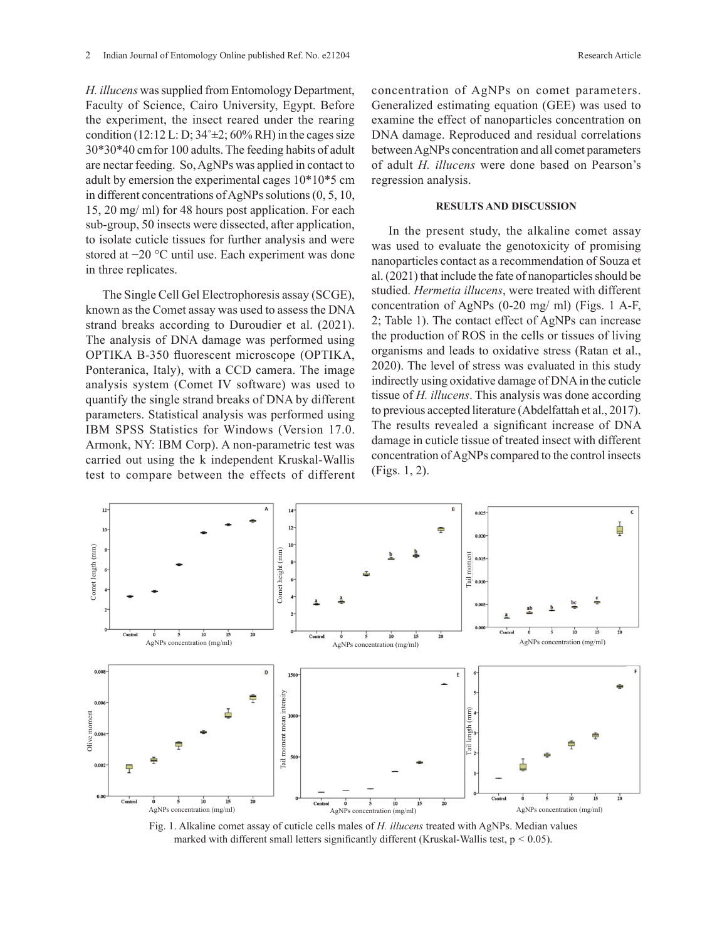*H. illucens* was supplied from Entomology Department, Faculty of Science, Cairo University, Egypt. Before the experiment, the insect reared under the rearing condition (12:12 L: D;  $34^{\circ} \pm 2$ ; 60% RH) in the cages size 30\*30\*40 cmfor 100 adults. The feeding habits of adult are nectar feeding. So, AgNPs was applied in contact to adult by emersion the experimental cages 10\*10\*5 cm in different concentrations of AgNPs solutions (0, 5, 10, 15, 20 mg/ ml) for 48 hours post application. For each sub-group, 50 insects were dissected, after application, to isolate cuticle tissues for further analysis and were stored at −20 °C until use. Each experiment was done in three replicates.

The Single Cell Gel Electrophoresis assay (SCGE), known as the Comet assay was used to assess the DNA strand breaks according to Duroudier et al. (2021). The analysis of DNA damage was performed using OPTIKA B-350 fluorescent microscope (OPTIKA, Ponteranica, Italy), with a CCD camera. The image analysis system (Comet IV software) was used to quantify the single strand breaks of DNA by different parameters. Statistical analysis was performed using IBM SPSS Statistics for Windows (Version 17.0. Armonk, NY: IBM Corp). A non-parametric test was carried out using the k independent Kruskal-Wallis test to compare between the effects of different concentration of AgNPs on comet parameters. Generalized estimating equation (GEE) was used to examine the effect of nanoparticles concentration on DNA damage. Reproduced and residual correlations between AgNPs concentration and all comet parameters of adult *H. illucens* were done based on Pearson's regression analysis.

#### **RESULTS AND DISCUSSION**

In the present study, the alkaline comet assay was used to evaluate the genotoxicity of promising nanoparticles contact as a recommendation of Souza et al. (2021) that include the fate of nanoparticles should be studied. *Hermetia illucens*, were treated with different concentration of AgNPs (0-20 mg/ ml) (Figs. 1 A-F, 2; Table 1). The contact effect of AgNPs can increase the production of ROS in the cells or tissues of living organisms and leads to oxidative stress (Ratan et al., 2020). The level of stress was evaluated in this study indirectly using oxidative damage of DNA in the cuticle tissue of *H. illucens*. This analysis was done according to previous accepted literature (Abdelfattah et al., 2017). The results revealed a significant increase of DNA damage in cuticle tissue of treated insect with different concentration of AgNPs compared to the control insects (Figs. 1, 2).



Fig. 1. Alkaline comet assay of cuticle cells males of *H. illucens* treated with AgNPs. Median values marked with different small letters significantly different (Kruskal-Wallis test, p *<* 0.05).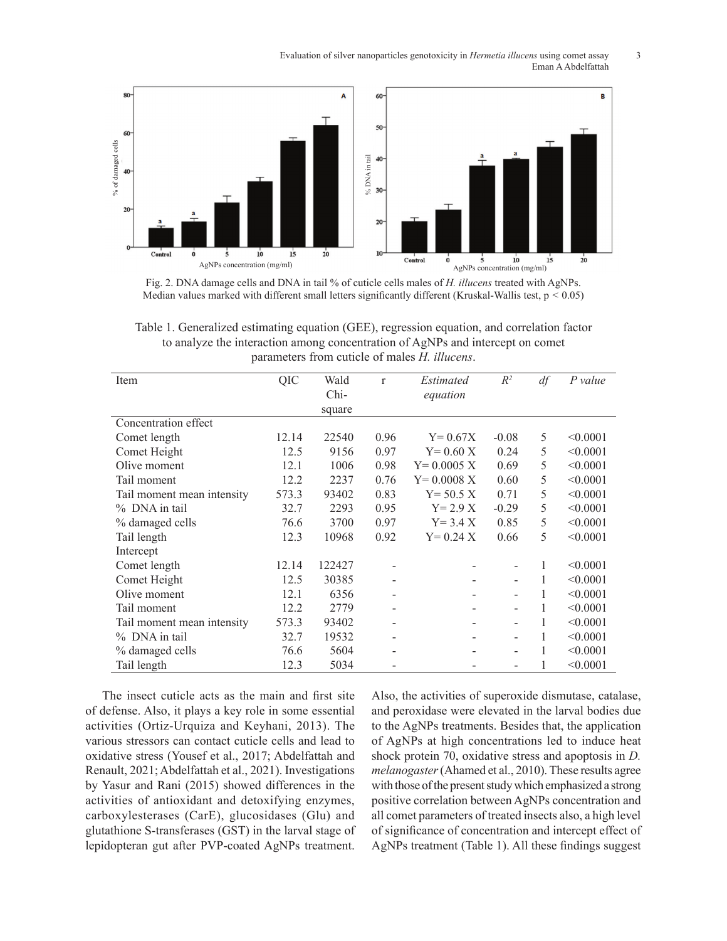Evaluation of silver nanoparticles genotoxicity in *Hermetia illucens* using comet assay 3 Eman A Abdelfattah



Fig. 2. DNA damage cells and DNA in tail % of cuticle cells males of *H. illucens* treated with AgNPs. Median values marked with different small letters significantly different (Kruskal-Wallis test, p *<* 0.05)

Table 1. Generalized estimating equation (GEE), regression equation, and correlation factor to analyze the interaction among concentration of AgNPs and intercept on comet parameters from cuticle of males *H. illucens*.

| Item                       | QIC   | Wald<br>Chi- | $\mathbf{r}$ | Estimated<br>equation | $R^2$                    | df | P value  |
|----------------------------|-------|--------------|--------------|-----------------------|--------------------------|----|----------|
|                            |       | square       |              |                       |                          |    |          |
| Concentration effect       |       |              |              |                       |                          |    |          |
| Comet length               | 12.14 | 22540        | 0.96         | $Y = 0.67X$           | $-0.08$                  | 5  | < 0.0001 |
| Comet Height               | 12.5  | 9156         | 0.97         | $Y = 0.60 X$          | 0.24                     | 5  | < 0.0001 |
| Olive moment               | 12.1  | 1006         | 0.98         | $Y = 0.0005 X$        | 0.69                     | 5  | < 0.0001 |
| Tail moment                | 12.2  | 2237         | 0.76         | $Y = 0.0008 X$        | 0.60                     | 5  | < 0.0001 |
| Tail moment mean intensity | 573.3 | 93402        | 0.83         | $Y = 50.5 X$          | 0.71                     | 5  | < 0.0001 |
| % DNA in tail              | 32.7  | 2293         | 0.95         | $Y = 2.9 X$           | $-0.29$                  | 5  | < 0.0001 |
| % damaged cells            | 76.6  | 3700         | 0.97         | $Y = 3.4 X$           | 0.85                     | 5  | < 0.0001 |
| Tail length                | 12.3  | 10968        | 0.92         | $Y = 0.24 X$          | 0.66                     | 5  | < 0.0001 |
| Intercept                  |       |              |              |                       |                          |    |          |
| Comet length               | 12.14 | 122427       |              |                       |                          | 1  | < 0.0001 |
| Comet Height               | 12.5  | 30385        |              |                       |                          |    | < 0.0001 |
| Olive moment               | 12.1  | 6356         |              |                       |                          | 1  | < 0.0001 |
| Tail moment                | 12.2  | 2779         |              |                       |                          | 1  | < 0.0001 |
| Tail moment mean intensity | 573.3 | 93402        | -            |                       | $\overline{\phantom{a}}$ | 1  | < 0.0001 |
| % DNA in tail              | 32.7  | 19532        |              |                       |                          |    | < 0.0001 |
| % damaged cells            | 76.6  | 5604         |              |                       |                          |    | < 0.0001 |
| Tail length                | 12.3  | 5034         |              |                       |                          |    | < 0.0001 |

The insect cuticle acts as the main and first site of defense. Also, it plays a key role in some essential activities (Ortiz-Urquiza and Keyhani, 2013). The various stressors can contact cuticle cells and lead to oxidative stress (Yousef et al., 2017; Abdelfattah and Renault, 2021; Abdelfattah et al., 2021). Investigations by Yasur and Rani (2015) showed differences in the activities of antioxidant and detoxifying enzymes, carboxylesterases (CarE), glucosidases (Glu) and glutathione S-transferases (GST) in the larval stage of lepidopteran gut after PVP-coated AgNPs treatment.

Also, the activities of superoxide dismutase, catalase, and peroxidase were elevated in the larval bodies due to the AgNPs treatments. Besides that, the application of AgNPs at high concentrations led to induce heat shock protein 70, oxidative stress and apoptosis in *D. melanogaster* (Ahamed et al., 2010). These results agree with those of the present study which emphasized a strong positive correlation between AgNPs concentration and all comet parameters of treated insects also, a high level of significance of concentration and intercept effect of AgNPs treatment (Table 1). All these findings suggest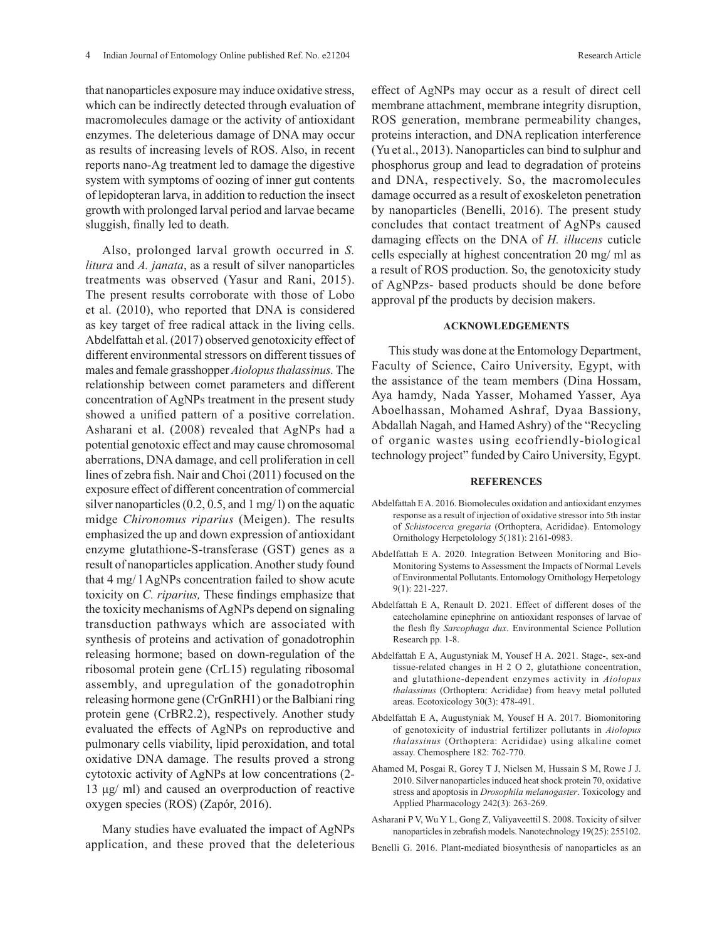that nanoparticles exposure may induce oxidative stress, which can be indirectly detected through evaluation of macromolecules damage or the activity of antioxidant enzymes. The deleterious damage of DNA may occur as results of increasing levels of ROS. Also, in recent reports nano-Ag treatment led to damage the digestive system with symptoms of oozing of inner gut contents of lepidopteran larva, in addition to reduction the insect growth with prolonged larval period and larvae became sluggish, finally led to death.

Also, prolonged larval growth occurred in *S. litura* and *A. janata*, as a result of silver nanoparticles treatments was observed (Yasur and Rani, 2015). The present results corroborate with those of Lobo et al. (2010), who reported that DNA is considered as key target of free radical attack in the living cells. Abdelfattah et al. (2017) observed genotoxicity effect of different environmental stressors on different tissues of males and female grasshopper *Aiolopus thalassinus.* The relationship between comet parameters and different concentration of AgNPs treatment in the present study showed a unified pattern of a positive correlation. Asharani et al. (2008) revealed that AgNPs had a potential genotoxic effect and may cause chromosomal aberrations, DNA damage, and cell proliferation in cell lines of zebra fish. Nair and Choi (2011) focused on the exposure effect of different concentration of commercial silver nanoparticles (0.2, 0.5, and 1 mg/ l) on the aquatic midge *Chironomus riparius* (Meigen). The results emphasized the up and down expression of antioxidant enzyme glutathione-S-transferase (GST) genes as a result of nanoparticles application. Another study found that 4 mg/ l AgNPs concentration failed to show acute toxicity on *C. riparius,* These findings emphasize that the toxicity mechanisms of AgNPs depend on signaling transduction pathways which are associated with synthesis of proteins and activation of gonadotrophin releasing hormone; based on down-regulation of the ribosomal protein gene (CrL15) regulating ribosomal assembly, and upregulation of the gonadotrophin releasing hormone gene (CrGnRH1) or the Balbiani ring protein gene (CrBR2.2), respectively. Another study evaluated the effects of AgNPs on reproductive and pulmonary cells viability, lipid peroxidation, and total oxidative DNA damage. The results proved a strong cytotoxic activity of AgNPs at low concentrations (2- 13 μg/ ml) and caused an overproduction of reactive oxygen species (ROS) (Zapór, 2016).

Many studies have evaluated the impact of AgNPs application, and these proved that the deleterious effect of AgNPs may occur as a result of direct cell membrane attachment, membrane integrity disruption, ROS generation, membrane permeability changes, proteins interaction, and DNA replication interference (Yu et al., 2013). Nanoparticles can bind to sulphur and phosphorus group and lead to degradation of proteins and DNA, respectively. So, the macromolecules damage occurred as a result of exoskeleton penetration by nanoparticles (Benelli, 2016). The present study concludes that contact treatment of AgNPs caused damaging effects on the DNA of *H. illucens* cuticle cells especially at highest concentration 20 mg/ ml as a result of ROS production. So, the genotoxicity study of AgNPzs- based products should be done before approval pf the products by decision makers.

# **ACKNOWLEDGEMENTS**

This study was done at the Entomology Department, Faculty of Science, Cairo University, Egypt, with the assistance of the team members (Dina Hossam, Aya hamdy, Nada Yasser, Mohamed Yasser, Aya Aboelhassan, Mohamed Ashraf, Dyaa Bassiony, Abdallah Nagah, and Hamed Ashry) of the "Recycling of organic wastes using ecofriendly-biological technology project" funded by Cairo University, Egypt.

#### **REFERENCES**

- Abdelfattah E A. 2016. Biomolecules oxidation and antioxidant enzymes response as a result of injection of oxidative stressor into 5th instar of *Schistocerca gregaria* (Orthoptera, Acrididae). Entomology Ornithology Herpetolology 5(181): 2161-0983.
- Abdelfattah E A. 2020. Integration Between Monitoring and Bio-Monitoring Systems to Assessment the Impacts of Normal Levels of Environmental Pollutants. Entomology Ornithology Herpetology 9(1): 221-227.
- Abdelfattah E A, Renault D. 2021. Effect of different doses of the catecholamine epinephrine on antioxidant responses of larvae of the flesh fly *Sarcophaga dux*. Environmental Science Pollution Research pp. 1-8.
- Abdelfattah E A, Augustyniak M, Yousef H A. 2021. Stage-, sex-and tissue-related changes in H 2 O 2, glutathione concentration, and glutathione-dependent enzymes activity in *Aiolopus thalassinus* (Orthoptera: Acrididae) from heavy metal polluted areas. Ecotoxicology 30(3): 478-491.
- Abdelfattah E A, Augustyniak M, Yousef H A. 2017. Biomonitoring of genotoxicity of industrial fertilizer pollutants in *Aiolopus thalassinus* (Orthoptera: Acrididae) using alkaline comet assay. Chemosphere 182: 762-770.
- Ahamed M, Posgai R, Gorey T J, Nielsen M, Hussain S M, Rowe J J. 2010. Silver nanoparticles induced heat shock protein 70, oxidative stress and apoptosis in *Drosophila melanogaster*. Toxicology and Applied Pharmacology 242(3): 263-269.
- Asharani P V, Wu Y L, Gong Z, Valiyaveettil S. 2008. Toxicity of silver nanoparticles in zebrafish models. Nanotechnology 19(25): 255102.
- Benelli G. 2016. Plant-mediated biosynthesis of nanoparticles as an